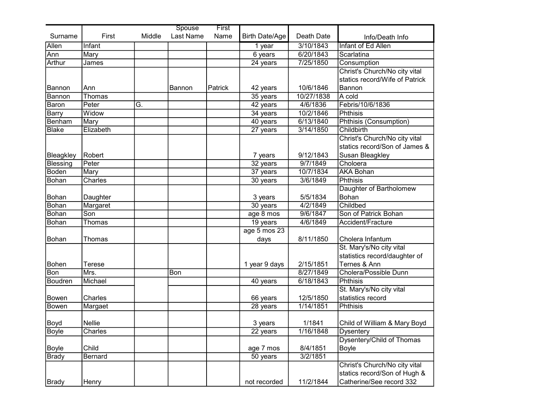|                 |           |        | Spouse    | First   |                       |            |                                |
|-----------------|-----------|--------|-----------|---------|-----------------------|------------|--------------------------------|
| Surname         | First     | Middle | Last Name | Name    | <b>Birth Date/Age</b> | Death Date | Info/Death Info                |
| Allen           | Infant    |        |           |         | 1 year                | 3/10/1843  | Infant of Ed Allen             |
| Ann             | Mary      |        |           |         | $6$ years             | 6/20/1843  | Scarlatina                     |
| Arthur          | James     |        |           |         | 24 years              | 7/25/1850  | Consumption                    |
|                 |           |        |           |         |                       |            | Christ's Church/No city vital  |
|                 |           |        |           |         |                       |            | statics record/Wife of Patrick |
| Bannon          | Ann       |        | Bannon    | Patrick | 42 years              | 10/6/1846  | Bannon                         |
| Bannon          | Thomas    |        |           |         | 35 years              | 10/27/1838 | A cold                         |
| <b>Baron</b>    | Peter     | G.     |           |         | 42 years              | 4/6/1836   | Febris/10/6/1836               |
| <b>Barry</b>    | Widow     |        |           |         | 34 years              | 10/2/1846  | Phthisis                       |
| Benham          | Mary      |        |           |         | 40 years              | 6/13/1840  | Phthisis (Consumption)         |
| <b>Blake</b>    | Elizabeth |        |           |         | 27 years              | 3/14/1850  | Childbirth                     |
|                 |           |        |           |         |                       |            | Christ's Church/No city vital  |
|                 |           |        |           |         |                       |            | statics record/Son of James &  |
| Bleagkley       | Robert    |        |           |         | 7 years               | 9/12/1843  | Susan Bleagkley                |
| <b>Blessing</b> | Peter     |        |           |         | $32$ years            | 9/7/1849   | Choloera                       |
| Boden           | Mary      |        |           |         | 37 years              | 10/7/1834  | <b>AKA Bohan</b>               |
| Bohan           | Charles   |        |           |         | $30$ years            | 3/6/1849   | <b>Phthisis</b>                |
|                 |           |        |           |         |                       |            | Daughter of Bartholomew        |
| Bohan           | Daughter  |        |           |         | 3 years               | 5/5/1834   | Bohan                          |
| <b>Bohan</b>    | Margaret  |        |           |         | 30 years              | 4/2/1849   | Childbed                       |
| <b>Bohan</b>    | Son       |        |           |         | age 8 mos             | 9/6/1847   | Son of Patrick Bohan           |
| Bohan           | Thomas    |        |           |         | $19$ years            | 4/6/1849   | Accident/Fracture              |
|                 |           |        |           |         | age 5 mos 23          |            |                                |
| Bohan           | Thomas    |        |           |         | days                  | 8/11/1850  | Cholera Infantum               |
|                 |           |        |           |         |                       |            | St. Mary's/No city vital       |
|                 |           |        |           |         |                       |            | statistics record/daughter of  |
| Bohen           | Terese    |        |           |         | 1 year 9 days         | 2/15/1851  | Ternes & Ann                   |
| Bon             | Mrs.      |        | Bon       |         |                       | 8/27/1849  | Cholera/Possible Dunn          |
| Boudren         | Michael   |        |           |         | 40 years              | 6/18/1843  | <b>Phthisis</b>                |
|                 |           |        |           |         |                       |            | St. Mary's/No city vital       |
| Bowen           | Charles   |        |           |         | 66 years              | 12/5/1850  | statistics record              |
| Bowen           | Margaet   |        |           |         | 28 years              | 1/14/1851  | Phthisis                       |
|                 |           |        |           |         |                       |            |                                |
| Boyd            | Nellie    |        |           |         | 3 years               | 1/1841     | Child of William & Mary Boyd   |
| <b>Boyle</b>    | Charles   |        |           |         | 22 years              | 1/16/1848  | <b>Dysentery</b>               |
|                 |           |        |           |         |                       |            | Dysentery/Child of Thomas      |
| Boyle           | Child     |        |           |         | age 7 mos             | 8/4/1851   | Boyle                          |
| <b>Brady</b>    | Bernard   |        |           |         | $50$ years            | 3/2/1851   |                                |
|                 |           |        |           |         |                       |            | Christ's Church/No city vital  |
|                 |           |        |           |         |                       |            | statics record/Son of Hugh &   |
| Brady           | Henry     |        |           |         | not recorded          | 11/2/1844  | Catherine/See record 332       |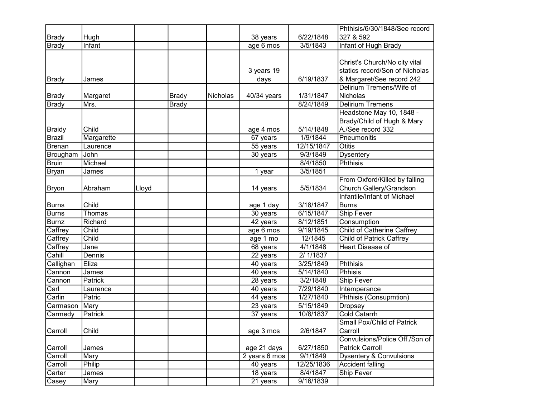|               |            |       |              |          |               |            | Phthisis/6/30/1848/See record     |
|---------------|------------|-------|--------------|----------|---------------|------------|-----------------------------------|
| Brady         | Hugh       |       |              |          | 38 years      | 6/22/1848  | 327 & 592                         |
| Brady         | Infant     |       |              |          | age 6 mos     | 3/5/1843   | Infant of Hugh Brady              |
|               |            |       |              |          |               |            |                                   |
|               |            |       |              |          |               |            | Christ's Church/No city vital     |
|               |            |       |              |          | 3 years 19    |            | statics record/Son of Nicholas    |
| Brady         | James      |       |              |          | days          | 6/19/1837  | & Margaret/See record 242         |
|               |            |       |              |          |               |            | Delirium Tremens/Wife of          |
| <b>Brady</b>  | Margaret   |       | Brady        | Nicholas | 40/34 years   | 1/31/1847  | Nicholas                          |
| Brady         | Mrs.       |       | <b>Brady</b> |          |               | 8/24/1849  | <b>Delirium Tremens</b>           |
|               |            |       |              |          |               |            | Headstone May 10, 1848 -          |
|               |            |       |              |          |               |            | Brady/Child of Hugh & Mary        |
| <b>Braidy</b> | Child      |       |              |          | age 4 mos     | 5/14/1848  | A./See record 332                 |
| Brazil        | Margarette |       |              |          | 67 years      | 1/9/1844   | Pneumonitis                       |
| Brenan        | Laurence   |       |              |          | 55 years      | 12/15/1847 | Otitis                            |
| Brougham      | John       |       |              |          | 30 years      | 9/3/1849   | <b>Dysentery</b>                  |
| <b>Bruin</b>  | Michael    |       |              |          |               | 8/4/1850   | Phthisis                          |
| Bryan         | James      |       |              |          | 1 year        | 3/5/1851   |                                   |
|               |            |       |              |          |               |            | From Oxford/Killed by falling     |
| Bryon         | Abraham    | Lloyd |              |          | 14 years      | 5/5/1834   | Church Gallery/Grandson           |
|               |            |       |              |          |               |            | Infantile/Infant of Michael       |
| Burns         | Child      |       |              |          | age 1 day     | 3/18/1847  | <b>Burns</b>                      |
| <b>Burns</b>  | Thomas     |       |              |          | 30 years      | 6/15/1847  | Ship Fever                        |
| <b>Burnz</b>  | Richard    |       |              |          | 42 years      | 8/12/1851  | Consumption                       |
| Caffrey       | Child      |       |              |          | age 6 mos     | 9/19/1845  | <b>Child of Catherine Caffrey</b> |
| Caffrey       | Child      |       |              |          | age 1 mo      | 12/1845    | Child of Patrick Caffrey          |
| Caffrey       | Jane       |       |              |          | 68 years      | 4/1/1848   | <b>Heart Disease of</b>           |
| Cahill        | Dennis     |       |              |          | 22 years      | 2/1/1837   |                                   |
| Callighan     | Eliza      |       |              |          | 40 years      | 3/25/1849  | <b>Phthisis</b>                   |
| Cannon        | James      |       |              |          | 40 years      | 5/14/1840  | <b>Phhisis</b>                    |
| Cannon        | Patrick    |       |              |          | 28 years      | 3/2/1848   | <b>Ship Fever</b>                 |
| Carl          | Laurence   |       |              |          | 40 years      | 7/29/1840  | Intemperance                      |
| Carlin        | Patric     |       |              |          | 44 years      | 1/27/1840  | Phthisis (Consupmtion)            |
| Carmason      | Mary       |       |              |          | 23 years      | 5/15/1849  | <b>Dropsey</b>                    |
| Carmedy       | Patrick    |       |              |          | 37 years      | 10/8/1837  | <b>Cold Catarrh</b>               |
|               |            |       |              |          |               |            | Small Pox/Child of Patrick        |
| Carroll       | Child      |       |              |          | age 3 mos     | 2/6/1847   | Carroll                           |
|               |            |       |              |          |               |            | Convulsions/Police Off./Son of    |
| Carroll       | James      |       |              |          | age 21 days   | 6/27/1850  | <b>Patrick Carroll</b>            |
| Carroll       | Mary       |       |              |          | 2 years 6 mos | 9/1/1849   | Dysentery & Convulsions           |
| Carroll       | Philip     |       |              |          | 40 years      | 12/25/1836 | Accident falling                  |
| Carter        | James      |       |              |          | 18 years      | 8/4/1847   | Ship Fever                        |
| Casey         | Mary       |       |              |          | 21 years      | 9/16/1839  |                                   |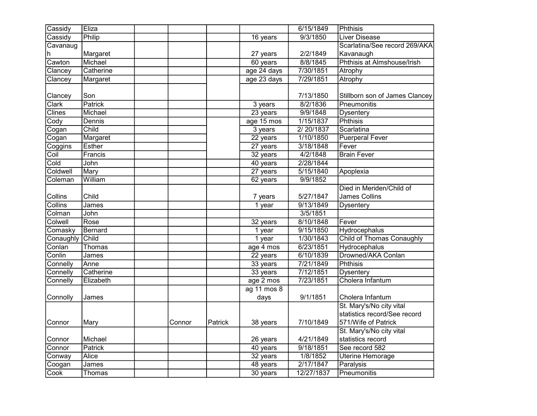| Cassidy            | Eliza         |        |         |                     | 6/15/1849  | Phthisis                         |
|--------------------|---------------|--------|---------|---------------------|------------|----------------------------------|
| Cassidy            | Philip        |        |         | 16 years            | 9/3/1850   | <b>Liver Disease</b>             |
| Cavanaug           |               |        |         |                     |            | Scarlatina/See record 269/AKA    |
| h                  | Margaret      |        |         | 27 years            | 2/2/1849   | Kavanaugh                        |
| Cawton             | Michael       |        |         | 60 years            | 8/8/1845   | Phthisis at Almshouse/Irish      |
| Clancey            | Catherine     |        |         | age 24 days         | 7/30/1851  | Atrophy                          |
| Clancey            | Margaret      |        |         | age 23 days         | 7/29/1851  | Atrophy                          |
| Clancey            | Son           |        |         |                     | 7/13/1850  | Stillborn son of James Clancey   |
| Clark              | Patrick       |        |         | 3 years             | 8/2/1836   | Pneumonitis                      |
| <b>Clines</b>      | Michael       |        |         | 23 years            | 9/9/1848   | <b>Dysentery</b>                 |
| Cody               | Dennis        |        |         | age 15 mos          | 1/15/1837  | Phthisis                         |
| Cogan              | Child         |        |         | 3 years             | 2/20/1837  | Scarlatina                       |
| Cogan              | Margaret      |        |         | 22 years            | 1/10/1850  | <b>Puerperal Fever</b>           |
| Coggins            | <b>Esther</b> |        |         | 27 years            | 3/18/1848  | Fever                            |
| Coil               | Francis       |        |         | 32 years            | 4/2/1848   | <b>Brain Fever</b>               |
| Cold               | John          |        |         | 40 years            | 2/28/1844  |                                  |
| Coldwell           | Mary          |        |         | $27$ years          | 5/15/1840  | Apoplexia                        |
| Coleman            | William       |        |         |                     | 9/9/1852   |                                  |
|                    |               |        |         | 62 years            |            | Died in Meriden/Child of         |
|                    |               |        |         |                     |            |                                  |
| Collins<br>Collins | Child         |        |         | 7 years             | 5/27/1847  | James Collins                    |
|                    | James         |        |         | $1$ year            | 9/13/1849  | <b>Dysentery</b>                 |
| Colman             | John          |        |         |                     | 3/5/1851   |                                  |
| Colwell            | Rose          |        |         | 32 years            | 8/10/1848  | Fever                            |
| Comasky            | Bernard       |        |         | 1 year              | 9/15/1850  | Hydrocephalus                    |
| Conaughly          | Child         |        |         | $\overline{1}$ year | 1/30/1843  | <b>Child of Thomas Conaughly</b> |
| Conlan             | Thomas        |        |         | age 4 mos           | 6/23/1851  | Hydrocephalus                    |
| Conlin             | James         |        |         | 22 years            | 6/10/1839  | Drowned/AKA Conlan               |
| Connelly           | Anne          |        |         | 33 years            | 7/21/1849  | <b>Phthisis</b>                  |
| Connelly           | Catherine     |        |         | 33 years            | 7/12/1851  | <b>Dysentery</b>                 |
| Connelly           | Elizabeth     |        |         | age 2 mos           | 7/23/1851  | Cholera Infantum                 |
|                    |               |        |         | $ag$ 11 mos 8       |            |                                  |
| Connolly           | James         |        |         | days                | 9/1/1851   | Cholera Infantum                 |
|                    |               |        |         |                     |            | St. Mary's/No city vital         |
|                    |               |        |         |                     |            | statistics record/See record     |
| Connor             | Mary          | Connor | Patrick | 38 years            | 7/10/1849  | 571/Wife of Patrick              |
|                    |               |        |         |                     |            | St. Mary's/No city vital         |
| Connor             | Michael       |        |         | 26 years            | 4/21/1849  | statistics record                |
| Connor             | Patrick       |        |         | 40 years            | 9/18/1851  | See record 582                   |
| Conway             | <b>Alice</b>  |        |         | 32 years            | 1/8/1852   | Uterine Hemorage                 |
| Coogan             | James         |        |         | 48 years            | 2/17/1847  | Paralysis                        |
| Cook               | Thomas        |        |         | $30$ years          | 12/27/1837 | Pneumonitis                      |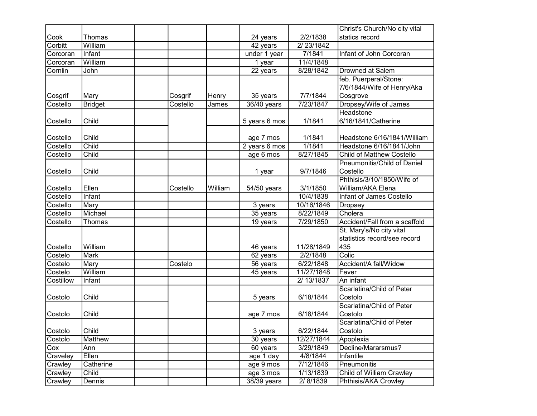|           |                |          |         |               |            | Christ's Church/No city vital    |
|-----------|----------------|----------|---------|---------------|------------|----------------------------------|
| Cook      | Thomas         |          |         | 24 years      | 2/2/1838   | statics record                   |
| Corbitt   | William        |          |         | 42 years      | 2/23/1842  |                                  |
| Corcoran  | Infant         |          |         | under 1 year  | 7/1841     | Infant of John Corcoran          |
| Corcoran  | William        |          |         | 1 year        | 11/4/1848  |                                  |
| Cornlin   | John           |          |         | 22 years      | 8/28/1842  | Drowned at Salem                 |
|           |                |          |         |               |            | feb. Puerperal/Stone:            |
|           |                |          |         |               |            | 7/6/1844/Wife of Henry/Aka       |
| Cosgrif   | Mary           | Cosgrif  | Henry   | 35 years      | 7/7/1844   | Cosgrove                         |
| Costello  | <b>Bridget</b> | Costello | James   | 36/40 years   | 7/23/1847  | Dropsey/Wife of James            |
|           |                |          |         |               |            | Headstone                        |
| Costello  | Child          |          |         | 5 years 6 mos | 1/1841     | 6/16/1841/Catherine              |
|           |                |          |         |               |            |                                  |
| Costello  | Child          |          |         | age 7 mos     | 1/1841     | Headstone 6/16/1841/William      |
| Costello  | Child          |          |         | 2 years 6 mos | 1/1841     | Headstone 6/16/1841/John         |
| Costello  | Child          |          |         | age 6 mos     | 8/27/1845  | <b>Child of Matthew Costello</b> |
|           |                |          |         |               |            | Pneumonitis/Child of Daniel      |
| Costello  | Child          |          |         | 1 year        | 9/7/1846   | Costello                         |
|           |                |          |         |               |            | Phthisis/3/10/1850/Wife of       |
| Costello  | Ellen          | Costello | William | 54/50 years   | 3/1/1850   | William/AKA Elena                |
| Costello  | Infant         |          |         |               | 10/4/1838  | Infant of James Costello         |
| Costello  | Mary           |          |         | 3 years       | 10/16/1846 | <b>Dropsey</b>                   |
| Costello  | Michael        |          |         | 35 years      | 8/22/1849  | Cholera                          |
| Costello  | Thomas         |          |         | $19$ years    | 7/29/1850  | Accident/Fall from a scaffold    |
|           |                |          |         |               |            | St. Mary's/No city vital         |
|           |                |          |         |               |            | statistics record/see record     |
| Costello  | William        |          |         | 46 years      | 11/28/1849 | 435                              |
| Costelo   | <b>Mark</b>    |          |         | 62 years      | 2/2/1848   | Colic                            |
| Costelo   | Mary           | Costelo  |         | 56 years      | 6/22/1848  | Accident/A fall/Widow            |
| Costelo   | William        |          |         | 45 years      | 11/27/1848 | Fever                            |
| Costillow | Infant         |          |         |               | 2/ 13/1837 | An infant                        |
|           |                |          |         |               |            | Scarlatina/Child of Peter        |
| Costolo   | Child          |          |         | 5 years       | 6/18/1844  | Costolo                          |
|           |                |          |         |               |            | Scarlatina/Child of Peter        |
| Costolo   | Child          |          |         | age 7 mos     | 6/18/1844  | Costolo                          |
|           |                |          |         |               |            | Scarlatina/Child of Peter        |
| Costolo   | Child          |          |         | 3 years       | 6/22/1844  | Costolo                          |
| Costolo   | Matthew        |          |         | 30 years      | 12/27/1844 | Apoplexia                        |
| Cox       | Ann            |          |         | 60 years      | 3/29/1849  | Decline/Mararsmus?               |
| Craveley  | Ellen          |          |         | age 1 day     | 4/8/1844   | Infantile                        |
| Crawley   | Catherine      |          |         | age 9 mos     | 7/12/1846  | Pneumonitis                      |
| Crawley   | Child          |          |         | age 3 mos     | 1/13/1839  | <b>Child of William Crawley</b>  |
| Crawley   | Dennis         |          |         | 38/39 years   | 2/8/1839   | Phthisis/AKA Crowley             |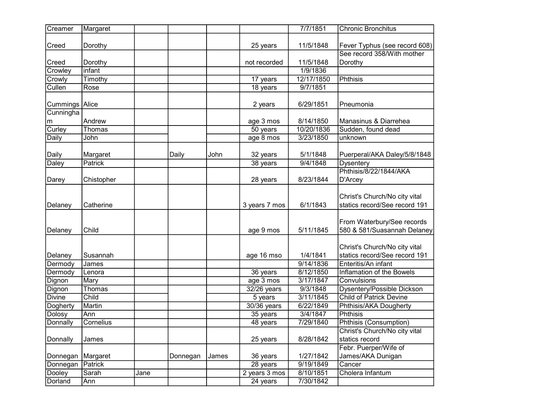| Creamer                 | Margaret       |      |          |       |                          | 7/7/1851              | <b>Chronic Bronchitus</b>                                                             |
|-------------------------|----------------|------|----------|-------|--------------------------|-----------------------|---------------------------------------------------------------------------------------|
| Creed                   | Dorothy        |      |          |       | 25 years                 | 11/5/1848             | Fever Typhus (see record 608)                                                         |
| Creed                   | Dorothy        |      |          |       | not recorded             | 11/5/1848             | See record 358/With mother<br>Dorothy                                                 |
| Crowley                 | infant         |      |          |       |                          | 1/9/1836              |                                                                                       |
| Crowly                  | Timothy        |      |          |       | 17 years                 | 12/17/1850            | <b>Phthisis</b>                                                                       |
| Cullen                  | Rose           |      |          |       | 18 years                 | 9/7/1851              |                                                                                       |
| Cummings   Alice        |                |      |          |       | 2 years                  | 6/29/1851             | Pneumonia                                                                             |
| Cunningha               |                |      |          |       |                          |                       |                                                                                       |
| m                       | Andrew         |      |          |       | age 3 mos                | 8/14/1850             | Manasinus & Diarrehea                                                                 |
| Curley                  | Thomas         |      |          |       | 50 years                 | 10/20/1836            | Sudden, found dead                                                                    |
| Daily                   | John           |      |          |       | age 8 mos                | 3/23/1850             | unknown                                                                               |
| Daily                   | Margaret       |      | Daily    | John  | 32 years                 | 5/1/1848              | Puerperal/AKA Daley/5/8/1848                                                          |
| Daley                   | Patrick        |      |          |       | 38 years                 | 9/4/1848              | <b>Dysentery</b>                                                                      |
|                         |                |      |          |       |                          |                       | Phthisis/8/22/1844/AKA                                                                |
| Darey                   | Chistopher     |      |          |       | 28 years                 | 8/23/1844             | D'Arcey                                                                               |
| Delaney                 | Catherine      |      |          |       | 3 years 7 mos            | 6/1/1843              | Christ's Church/No city vital<br>statics record/See record 191                        |
| Delaney                 | Child          |      |          |       | age 9 mos                | 5/11/1845             | From Waterbury/See records<br>580 & 581/Suasannah Delaney                             |
| Delaney                 | Susannah       |      |          |       | age 16 mso               | 1/4/1841<br>9/14/1836 | Christ's Church/No city vital<br>statics record/See record 191<br>Enteritis/An infant |
| Dermody                 | James          |      |          |       |                          | 8/12/1850             |                                                                                       |
| Dermody                 | Lenora         |      |          |       | 36 years                 | 3/17/1847             | Inflamation of the Bowels<br>Convulsions                                              |
| Dignon                  | Mary<br>Thomas |      |          |       | age 3 mos<br>32/26 years | 9/3/1848              |                                                                                       |
| Dignon<br><b>Divine</b> | Child          |      |          |       |                          | 3/11/1845             | Dysentery/Possible Dickson<br>Child of Patrick Devine                                 |
|                         | Martin         |      |          |       | 5 years<br>30/36 years   | 6/22/1849             |                                                                                       |
| Dogherty                | Ann            |      |          |       |                          | 3/4/1847              | Phthisis/AKA Dougherty<br>Phthisis                                                    |
| Dolosy<br>Donnally      | Cornelius      |      |          |       | 35 years                 | 7/29/1840             | Phthisis (Consumption)                                                                |
|                         |                |      |          |       | 48 years                 |                       | Christ's Church/No city vital                                                         |
| Donnally                | James          |      |          |       | 25 years                 | 8/28/1842             | statics record                                                                        |
| Donnegan                | Margaret       |      | Donnegan | James | 36 years                 | 1/27/1842             | Febr. Puerper/Wife of<br>James/AKA Dunigan                                            |
| Donnegan                | Patrick        |      |          |       | 28 years                 | 9/19/1849             | Cancer                                                                                |
| Dooley                  | Sarah          | Jane |          |       | 2 years 3 mos            | 8/10/1851             | Cholera Infantum                                                                      |
| Dorland                 | Ann            |      |          |       | 24 years                 | 7/30/1842             |                                                                                       |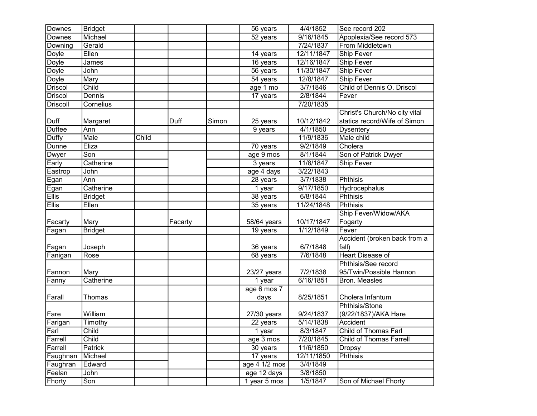| Downes         | <b>Bridget</b> |       |         |       | 56 years              | 4/4/1852   | See record 202                 |
|----------------|----------------|-------|---------|-------|-----------------------|------------|--------------------------------|
| Downes         | Michael        |       |         |       | 52 years              | 9/16/1845  | Apoplexia/See record 573       |
| Downing        | Gerald         |       |         |       |                       | 7/24/1837  | From Middletown                |
| Doyle          | Ellen          |       |         |       | $\overline{14}$ years | 12/11/1847 | <b>Ship Fever</b>              |
| <b>Doyle</b>   | James          |       |         |       | 16 years              | 12/16/1847 | <b>Ship Fever</b>              |
| <b>Doyle</b>   | John           |       |         |       | $56$ years            | 11/30/1847 | <b>Ship Fever</b>              |
| <b>Doyle</b>   | Mary           |       |         |       | $54$ years            | 12/8/1847  | <b>Ship Fever</b>              |
| <b>Driscol</b> | Child          |       |         |       | age 1 mo              | 3/7/1846   | Child of Dennis O. Driscol     |
| <b>Driscol</b> | Dennis         |       |         |       | 17 years              | 2/8/1844   | Fever                          |
| Driscoll       | Cornelius      |       |         |       |                       | 7/20/1835  |                                |
|                |                |       |         |       |                       |            | Christ's Church/No city vital  |
| Duff           | Margaret       |       | Duff    | Simon | 25 years              | 10/12/1842 | statics record/Wife of Simon   |
| <b>Duffee</b>  | Ann            |       |         |       | 9 years               | 4/1/1850   | <b>Dysentery</b>               |
| Duffy          | Male           | Child |         |       |                       | 11/9/1836  | Male child                     |
| Dunne          | Eliza          |       |         |       | 70 years              | 9/2/1849   | Cholera                        |
| Dwyer          | Son            |       |         |       | age 9 mos             | 8/1/1844   | Son of Patrick Dwyer           |
| Early          | Catherine      |       |         |       | $3$ years             | 11/8/1847  | <b>Ship Fever</b>              |
| Eastrop        | John           |       |         |       | age 4 days            | 3/22/1843  |                                |
| Egan           | Ann            |       |         |       | 28 years              | 3/7/1838   | Phthisis                       |
| Egan           | Catherine      |       |         |       | 1 year                | 9/17/1850  | Hydrocephalus                  |
| <b>Ellis</b>   | <b>Bridget</b> |       |         |       | 38 years              | 6/8/1844   | Phthisis                       |
| <b>Ellis</b>   | Ellen          |       |         |       | 35 years              | 11/24/1848 | <b>Phthisis</b>                |
|                |                |       |         |       |                       |            | Ship Fever/Widow/AKA           |
| Facarty        | Mary           |       | Facarty |       | 58/64 years           | 10/17/1847 | Fogarty                        |
| Fagan          | <b>Bridget</b> |       |         |       | 19 years              | 1/12/1849  | Fever                          |
|                |                |       |         |       |                       |            | Accident (broken back from a   |
| Fagan          | Joseph         |       |         |       | 36 years              | 6/7/1848   | fall)                          |
| Fanigan        | Rose           |       |         |       | 68 years              | 7/6/1848   | <b>Heart Disease of</b>        |
|                |                |       |         |       |                       |            | Phthisis/See record            |
| Fannon         | Mary           |       |         |       | 23/27 years           | 7/2/1838   | 95/Twin/Possible Hannon        |
| Fanny          | Catherine      |       |         |       | 1 year                | 6/16/1851  | Bron. Measles                  |
|                |                |       |         |       | age 6 mos 7           |            |                                |
| Farall         | Thomas         |       |         |       | days                  | 8/25/1851  | Cholera Infantum               |
|                |                |       |         |       |                       |            | Phthisis/Stone                 |
| Fare           | William        |       |         |       | 27/30 years           | 9/24/1837  | (9/22/1837)/AKA Hare           |
| Farigan        | Timothy        |       |         |       | 22 years              | 5/14/1838  | Accident                       |
| ∣Farl          | Child          |       |         |       | 1 year                | 8/3/1847   | Child of Thomas Farl           |
| Farrell        | Child          |       |         |       | age 3 mos             | 7/20/1845  | <b>Child of Thomas Farrell</b> |
| Farrell        | Patrick        |       |         |       | 30 years              | 11/6/1850  | <b>Dropsy</b>                  |
| Faughnan       | Michael        |       |         |       | 17 years              | 12/11/1850 | Phthisis                       |
| Faughran       | Edward         |       |         |       | age 4 1/2 mos         | 3/4/1849   |                                |
| Feelan         | John           |       |         |       | age 12 days           | 3/8/1850   |                                |
| Fhorty         | Son            |       |         |       | 1 year 5 mos          | 1/5/1847   | Son of Michael Fhorty          |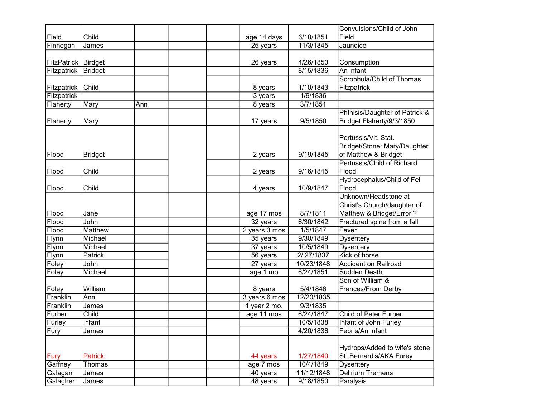|                       |                    |     |               |            | Convulsions/Child of John      |
|-----------------------|--------------------|-----|---------------|------------|--------------------------------|
| Field                 | Child              |     | age 14 days   | 6/18/1851  | Field                          |
| Finnegan              | James              |     | 25 years      | 11/3/1845  | Jaundice                       |
|                       |                    |     |               |            |                                |
| FitzPatrick   Birdget |                    |     | 26 years      | 4/26/1850  | Consumption                    |
| Fitzpatrick           | <b>Bridget</b>     |     |               | 8/15/1836  | An infant                      |
|                       |                    |     |               |            | Scrophula/Child of Thomas      |
| Fitzpatrick           | Child              |     | 8 years       | 1/10/1843  | Fitzpatrick                    |
| Fitzpatrick           |                    |     | 3 years       | 1/9/1836   |                                |
| Flaherty              | Mary               | Ann | 8 years       | 3/7/1851   |                                |
|                       |                    |     |               |            | Phthisis/Daughter of Patrick & |
| Flaherty              | Mary               |     | 17 years      | 9/5/1850   | Bridget Flaherty/9/3/1850      |
|                       |                    |     |               |            |                                |
|                       |                    |     |               |            | Pertussis/Vit. Stat.           |
|                       |                    |     |               |            | Bridget/Stone: Mary/Daughter   |
| Flood                 | <b>Bridget</b>     |     | 2 years       | 9/19/1845  | of Matthew & Bridget           |
|                       |                    |     |               |            | Pertussis/Child of Richard     |
| Flood                 | Child              |     | 2 years       | 9/16/1845  | Flood                          |
|                       |                    |     |               |            | Hydrocephalus/Child of Fel     |
| Flood                 | Child              |     | 4 years       | 10/9/1847  | Flood                          |
|                       |                    |     |               |            | Unknown/Headstone at           |
|                       |                    |     |               |            | Christ's Church/daughter of    |
| Flood                 | Jane               |     | age 17 mos    | 8/7/1811   | Matthew & Bridget/Error?       |
| Flood                 | John               |     | $32$ years    | 6/30/1842  | Fractured spine from a fall    |
| Flood                 | Matthew            |     | 2 years 3 mos | 1/5/1847   | Fever                          |
| Flynn                 | Michael            |     | 35 years      | 9/30/1849  | <b>Dysentery</b>               |
| Flynn                 | Michael            |     | 37 years      | 10/5/1849  | <b>Dysentery</b>               |
| Flynn                 | Patrick            |     | 56 years      | 2/27/1837  | Kick of horse                  |
| Foley                 | John               |     | 27 years      | 10/23/1848 | <b>Accident on Railroad</b>    |
| Foley                 | Michael            |     | age 1 mo      | 6/24/1851  | Sudden Death                   |
|                       |                    |     |               |            | Son of William &               |
| Foley                 | William            |     | 8 years       | 5/4/1846   | Frances/From Derby             |
| Franklin              | Ann                |     | 3 years 6 mos | 12/20/1835 |                                |
| Franklin              | James              |     | 1 year 2 mo.  | 9/3/1835   |                                |
| Furber                | $\overline{Child}$ |     | age 11 mos    | 6/24/1847  | Child of Peter Furber          |
| Furley                | Infant             |     |               | 10/5/1838  | Infant of John Furley          |
| Fury                  | James              |     |               | 4/20/1836  | Febris/An infant               |
|                       |                    |     |               |            |                                |
|                       |                    |     |               |            | Hydrops/Added to wife's stone  |
| <b>Fury</b>           | <b>Patrick</b>     |     | 44 years      | 1/27/1840  | St. Bernard's/AKA Furey        |
| Gaffney               | Thomas             |     | age 7 mos     | 10/4/1849  | Dysentery                      |
| Galagan               | James              |     | 40 years      | 11/12/1848 | <b>Delirium Tremens</b>        |
| Galagher              | James              |     | 48 years      | 9/18/1850  | Paralysis                      |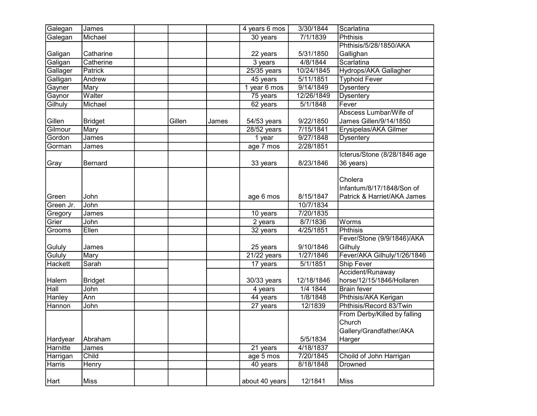| Galegan        | <b>James</b>   |        |       | 4 years 6 mos           | 3/30/1844  | Scarlatina                   |
|----------------|----------------|--------|-------|-------------------------|------------|------------------------------|
| Galegan        | Michael        |        |       | 30 years                | 7/1/1839   | Phthisis                     |
|                |                |        |       |                         |            | Phthisis/5/28/1850/AKA       |
| Galigan        | Catharine      |        |       | 22 years                | 5/31/1850  | Gallighan                    |
| Galigan        | Catherine      |        |       | 3 years                 | 4/8/1844   | Scarlatina                   |
| Gallager       | Patrick        |        |       | $25/35$ years           | 10/24/1845 | Hydrops/AKA Gallagher        |
| Galligan       | Andrew         |        |       | 45 years                | 5/11/1851  | <b>Typhoid Fever</b>         |
| Gayner         | Mary           |        |       | 1 year 6 mos            | 9/14/1849  | <b>Dysentery</b>             |
| Gaynor         | Walter         |        |       | 75 years                | 12/26/1849 | <b>Dysentery</b>             |
| Gilhuly        | Michael        |        |       | 62 years                | 5/1/1848   | Fever                        |
|                |                |        |       |                         |            | Abscess Lumbar/Wife of       |
| Gillen         | <b>Bridget</b> | Gillen | James | 54/53 years             | 9/22/1850  | James Gillen/9/14/1850       |
| Gilmour        | Mary           |        |       | 28/52 years             | 7/15/1841  | Erysipelas/AKA Gilmer        |
| Gordon         | James          |        |       | 1 year                  | 9/27/1848  | Dysentery                    |
| Gorman         | James          |        |       | age 7 mos               | 2/28/1851  |                              |
|                |                |        |       |                         |            | Icterus/Stone (8/28/1846 age |
| Gray           | Bernard        |        |       | 33 years                | 8/23/1846  | 36 years)                    |
|                |                |        |       |                         |            |                              |
|                |                |        |       |                         |            | Cholera                      |
|                |                |        |       |                         |            | Infantum/8/17/1848/Son of    |
| Green          | John           |        |       | age 6 mos               | 8/15/1847  | Patrick & Harriet/AKA James  |
| Green Jr.      | John           |        |       |                         | 10/7/1834  |                              |
| Gregory        | James          |        |       | 10 years                | 7/20/1835  |                              |
| Grier          | John           |        |       | 2 years                 | 8/7/1836   | Worms                        |
| Grooms         | Ellen          |        |       | 32 years                | 4/25/1851  | <b>Phthisis</b>              |
|                |                |        |       |                         |            | Fever/Stone (9/9/1846)/AKA   |
| Gululy         | James          |        |       | 25 years                | 9/10/1846  | Gilhuly                      |
| Gululy         | Mary           |        |       | 21/22 years             | 1/27/1846  | Fever/AKA Gilhuly/1/26/1846  |
| <b>Hackett</b> | Sarah          |        |       | 17 years                | 5/1/1851   | Ship Fever                   |
|                |                |        |       |                         |            | Accident/Runaway             |
| Halern         | <b>Bridget</b> |        |       | 30/33 years             | 12/18/1846 | horse/12/15/1846/Hollaren    |
| Hall           | John           |        |       | 4 years                 | 1/4 1844   | <b>Brain fever</b>           |
| Hanley         | Ann            |        |       | 44 years                | 1/8/1848   | Phthisis/AKA Kerigan         |
| Hannon         | John           |        |       | 27 years                | 12/1839    | Phthisis/Record 83/Twin      |
|                |                |        |       |                         |            | From Derby/Killed by falling |
|                |                |        |       |                         |            | Church                       |
|                |                |        |       |                         |            | Gallery/Grandfather/AKA      |
| Hardyear       | Abraham        |        |       |                         | 5/5/1834   | Harger                       |
| Harnitte       | James          |        |       | 21 years                | 4/18/1837  |                              |
| Harrigan       | Child          |        |       | $\overline{age\ 5}$ mos | 7/20/1845  | Choild of John Harrigan      |
| Harris         | <b>Henry</b>   |        |       | 40 years                | 8/18/1848  | Drowned                      |
|                |                |        |       |                         |            |                              |
| Hart           | <b>Miss</b>    |        |       | about 40 years          | 12/1841    | <b>Miss</b>                  |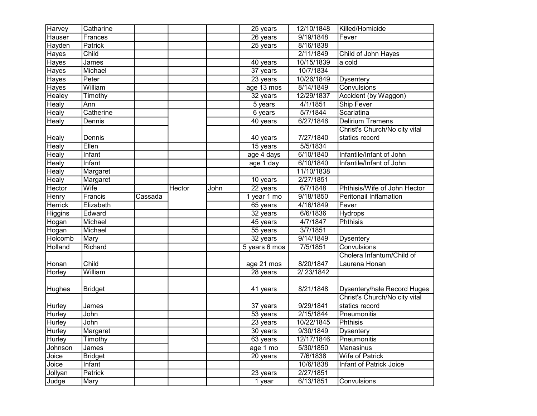| Harvey         | Catharine      |         |        |      | 25 years              | 12/10/1848 | Killed/Homicide               |
|----------------|----------------|---------|--------|------|-----------------------|------------|-------------------------------|
| <b>Hauser</b>  | Frances        |         |        |      | 26 years              | 9/19/1848  | Fever                         |
| Hayden         | Patrick        |         |        |      | $25$ years            | 8/16/1838  |                               |
| Hayes          | Child          |         |        |      |                       | 2/11/1849  | Child of John Hayes           |
| <b>Hayes</b>   | James          |         |        |      | $\overline{40}$ years | 10/15/1839 | a cold                        |
| Hayes          | Michael        |         |        |      | 37 years              | 10/7/1834  |                               |
| <b>Hayes</b>   | Peter          |         |        |      | 23 years              | 10/26/1849 | Dysentery                     |
| <b>Hayes</b>   | William        |         |        |      | age 13 mos            | 8/14/1849  | Convulsions                   |
| Healey         | Timothy        |         |        |      | 32 years              | 12/29/1837 | Accident (by Waggon)          |
| <b>Healy</b>   | Ann            |         |        |      | 5 years               | 4/1/1851   | Ship Fever                    |
| <b>Healy</b>   | Catherine      |         |        |      | 6 years               | 5/7/1844   | Scarlatina                    |
| <b>Healy</b>   | Dennis         |         |        |      | 40 years              | 6/27/1846  | <b>Delirium Tremens</b>       |
|                |                |         |        |      |                       |            | Christ's Church/No city vital |
| Healy          | Dennis         |         |        |      | 40 years              | 7/27/1840  | statics record                |
| <b>Healy</b>   | Ellen          |         |        |      | 15 years              | 5/5/1834   |                               |
| Healy          | Infant         |         |        |      | $age\ 4\ days$        | 6/10/1840  | Infantile/Infant of John      |
| Healy          | Infant         |         |        |      | age 1 day             | 6/10/1840  | Infantile/Infant of John      |
| <b>Healy</b>   | Margaret       |         |        |      |                       | 11/10/1838 |                               |
| <b>Healy</b>   | Margaret       |         |        |      | 10 years              | 2/27/1851  |                               |
| Hector         | Wife           |         | Hector | John | 22 years              | 6/7/1848   | Phthisis/Wife of John Hector  |
| Henry          | Francis        | Cassada |        |      | 1 year 1 mo           | 9/18/1850  | <b>Peritonail Inflamation</b> |
| <b>Herrick</b> | Elizabeth      |         |        |      | 65 years              | 4/16/1849  | Fever                         |
| Higgins        | Edward         |         |        |      | 32 years              | 6/6/1836   | Hydrops                       |
| Hogan          | Michael        |         |        |      | 45 years              | 4/7/1847   | <b>Phthisis</b>               |
| Hogan          | Michael        |         |        |      | 55 years              | 3/7/1851   |                               |
| Holcomb        | Mary           |         |        |      | $32$ years            | 9/14/1849  | <b>Dysentery</b>              |
| Holland        | Richard        |         |        |      | 5 years 6 mos         | 7/5/1851   | Convulsions                   |
|                |                |         |        |      |                       |            | Cholera Infantum/Child of     |
| Honan          | Child          |         |        |      | age 21 mos            | 8/20/1847  | Laurena Honan                 |
| Horley         | William        |         |        |      | 28 years              | 2/23/1842  |                               |
|                |                |         |        |      |                       |            |                               |
| Hughes         | <b>Bridget</b> |         |        |      | 41 years              | 8/21/1848  | Dysentery/hale Record Huges   |
|                |                |         |        |      |                       |            | Christ's Church/No city vital |
| Hurley         | James          |         |        |      | 37 years              | 9/29/1841  | statics record                |
| <b>Hurley</b>  | John           |         |        |      | 53 years              | 2/15/1844  | Pneumonitis                   |
| Hurley         | John           |         |        |      | $23$ years            | 10/22/1845 | Phthisis                      |
| Hurley         | Margaret       |         |        |      | 30 years              | 9/30/1849  | Dysentery                     |
| <b>Hurley</b>  | Timothy        |         |        |      | 63 years              | 12/17/1846 | Pneumonitis                   |
| Johnson        | James          |         |        |      | age 1 mo              | 5/30/1850  | Manasinus                     |
| Joice          | <b>Bridget</b> |         |        |      | 20 years              | 7/6/1838   | Wife of Patrick               |
| Joice          | <b>Infant</b>  |         |        |      |                       | 10/6/1838  | Infant of Patrick Joice       |
| Jollyan        | Patrick        |         |        |      | 23 years              | 2/27/1851  |                               |
| Judge          | Mary           |         |        |      | 1 year                | 6/13/1851  | <b>Convulsions</b>            |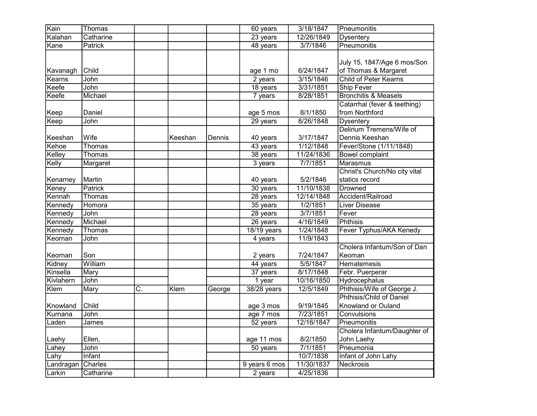| Kain      | Thomas      |    |         |        | 60 years      | 3/18/1847  | Pneumonitis                     |
|-----------|-------------|----|---------|--------|---------------|------------|---------------------------------|
| Kalahan   | Catharine   |    |         |        | 23 years      | 12/26/1849 | <b>Dysentery</b>                |
| Kane      | Patrick     |    |         |        | 48 years      | 3/7/1846   | Pneumonitis                     |
|           |             |    |         |        |               |            |                                 |
|           |             |    |         |        |               |            | July 15, 1847/Age 6 mos/Son     |
| Kavanagh  | Child       |    |         |        | age 1 mo      | 6/24/1847  | of Thomas & Margaret            |
| Kearns    | John        |    |         |        | $2$ years     | 3/15/1846  | Child of Peter Kearns           |
| Keefe     | John        |    |         |        | 18 years      | 3/31/1851  | <b>Ship Fever</b>               |
| Keefe     | Michael     |    |         |        | 7 years       | 8/28/1851  | <b>Bronchitis &amp; Measels</b> |
|           |             |    |         |        |               |            | Catarrhal (fever & teething)    |
| Keep      | Daniel      |    |         |        | age 5 mos     | 8/1/1850   | from Northford                  |
| Keep      | John        |    |         |        | 29 years      | 8/26/1848  | <b>Dysentery</b>                |
|           |             |    |         |        |               |            | Delirium Tremens/Wife of        |
| Keeshan   | Wife        |    | Keeshan | Dennis | 40 years      | 3/17/1847  | Dennis Keeshan                  |
| Kehoe     | Thomas      |    |         |        | 43 years      | 1/12/1848  | Fever/Stone (1/11/1848)         |
| Kelley    | Thomas      |    |         |        | 38 years      | 11/24/1836 | <b>Bowel complaint</b>          |
| Kelly     | Margaret    |    |         |        | 3 years       | 7/7/1851   | <b>Marasmus</b>                 |
|           |             |    |         |        |               |            | Christ's Church/No city vital   |
| Kenarney  | Martin      |    |         |        | 40 years      | 5/2/1846   | statics record                  |
| Keney     | Patrick     |    |         |        | 30 years      | 11/10/1838 | <b>Drowned</b>                  |
| Kennah    | Thomas      |    |         |        | 28 years      | 12/14/1848 | Accident/Railroad               |
| Kennedy   | Homora      |    |         |        | 35 years      | 1/2/1851   | <b>Liver Disease</b>            |
| Kennedy   | <b>John</b> |    |         |        | 28 years      | 3/7/1851   | Fever                           |
| Kennedy   | Michael     |    |         |        | 26 years      | 4/16/1849  | <b>Phthisis</b>                 |
| Kennedy   | Thomas      |    |         |        | $18/19$ years | 1/24/1848  | Fever Typhus/AKA Kenedy         |
| Keornan   | John        |    |         |        | 4 years       | 11/9/1843  |                                 |
|           |             |    |         |        |               |            | Cholera Infantum/Son of Dan     |
| Keornan   | Son         |    |         |        | 2 years       | 7/24/1847  | Keoman                          |
| Kidney    | William     |    |         |        | 44 years      | 5/5/1847   | Hematemesis                     |
| Kinsella  | Mary        |    |         |        | 37 years      | 8/17/1848  | Febr. Puerperar                 |
| Kivlahern | John        |    |         |        | $1$ year      | 10/16/1850 | Hydrocephalus                   |
| Klem      | Mary        | C. | Klem    | George | 38/28 years   | 12/5/1849  | Phthisis/Wife of George J.      |
|           |             |    |         |        |               |            | Phthisis/Child of Daniel        |
| Knowland  | Child       |    |         |        | age 3 mos     | 9/19/1845  | Knowland or Ouland              |
| Kurnana   | John        |    |         |        | age 7 mos     | 7/23/1851  | Convulsions                     |
| Laden     | James       |    |         |        | 52 years      | 12/16/1847 | Pneumonitis                     |
|           |             |    |         |        |               |            | Cholera Infantum/Daughter of    |
| Laehy     | Ellen,      |    |         |        | age 11 mos    | 8/2/1850   | John Laehy                      |
| Lahey     | John        |    |         |        | 50 years      | 7/1/1851   | Pneumonia                       |
| Lahy      | Infant      |    |         |        |               | 10/7/1838  | Infant of John Lahy             |
| Landragan | Charles     |    |         |        | 9 years 6 mos | 11/30/1837 | Neckrosis                       |
| Larkin    | Catharine   |    |         |        | 2 years       | 4/25/1836  |                                 |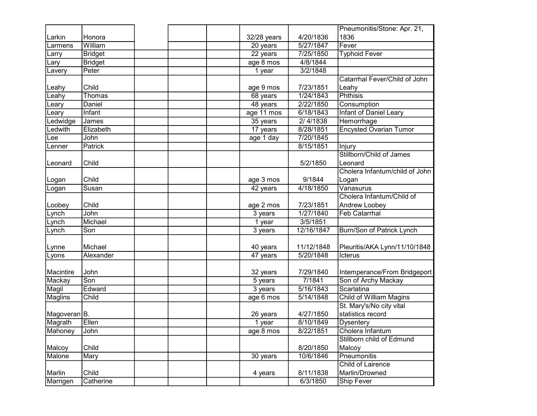|               |                |  |             |            | Pneumonitis/Stone: Apr. 21,    |
|---------------|----------------|--|-------------|------------|--------------------------------|
| Larkin        | Honora         |  | 32/28 years | 4/20/1836  | 1836                           |
| Larmens       | William        |  | 20 years    | 5/27/1847  | Fever                          |
| Larry         | <b>Bridget</b> |  | 22 years    | 7/25/1850  | <b>Typhoid Fever</b>           |
| Lary          | <b>Bridget</b> |  | age 8 mos   | 4/8/1844   |                                |
| Lavery        | Peter          |  | 1 year      | 3/2/1848   |                                |
|               |                |  |             |            | Catarrhal Fever/Child of John  |
| Leahy         | Child          |  | age 9 mos   | 7/23/1851  | Leahy                          |
| Leahy         | Thomas         |  | 68 years    | 1/24/1843  | <b>Phthisis</b>                |
| Leary         | Daniel         |  | 48 years    | 2/22/1850  | Consumption                    |
| Leary         | Infant         |  | age 11 mos  | 6/18/1843  | Infant of Daniel Leary         |
| Ledwidge      | James          |  | 35 years    | 2/4/1838   | Hemorrhage                     |
| Ledwith       | Elizabeth      |  | 17 years    | 8/28/1851  | <b>Encysted Ovarian Tumor</b>  |
| Lee           | John           |  | age 1 day   | 7/20/1845  |                                |
| Lenner        | Patrick        |  |             | 8/15/1851  | Injury                         |
|               |                |  |             |            | Stillborn/Child of James       |
| Leonard       | Child          |  |             | 5/2/1850   | Leonard                        |
|               |                |  |             |            | Cholera Infantum/child of John |
| Logan         | Child          |  | age 3 mos   | 9/1844     | Logan                          |
| Logan         | Susan          |  | 42 years    | 4/18/1850  | Vanasurus                      |
|               |                |  |             |            | Cholera Infantum/Child of      |
| Loobey        | Child          |  | age 2 mos   | 7/23/1851  | Andrew Loobey                  |
| Lynch         | John           |  | 3 years     | 1/27/1840  | <b>Feb Catarrhal</b>           |
| .ynch         | Michael        |  | 1 year      | 3/5/1851   |                                |
| Lynch         | Son            |  | 3 years     | 12/16/1847 | Burn/Son of Patrick Lynch      |
|               |                |  |             |            |                                |
| Lynne         | Michael        |  | 40 years    | 11/12/1848 | Pleuritis/AKA Lynn/11/10/1848  |
| Lyons         | Alexander      |  | 47 years    | 5/20/1848  | Icterus                        |
|               |                |  |             |            |                                |
| Macintire     | John           |  | 32 years    | 7/29/1840  | Intemperance/From Bridgeport   |
| Mackay        | Son            |  | 5 years     | 7/1841     | Son of Archy Mackay            |
| Magil         | Edward         |  | 3 years     | 5/16/1843  | Scarlatina                     |
| Maglins       | Child          |  | age 6 mos   | 5/14/1848  | <b>Child of William Magins</b> |
|               |                |  |             |            | St. Mary's/No city vital       |
| ∣Magoveran B. |                |  | 26 years    | 4/27/1850  | statistics record              |
| Magrath       | Ellen          |  | 1 year      | 8/10/1849  | <b>Dysentery</b>               |
| Mahoney       | John           |  | age 8 mos   | 8/22/1851  | Cholera Infantum               |
|               |                |  |             |            | Stillborn child of Edmund      |
| Malcoy        | Child          |  |             | 8/20/1850  | Malcoy                         |
| Malone        | Mary           |  | 30 years    | 10/6/1846  | <b>Pneumonitis</b>             |
|               |                |  |             |            | Child of Lairence              |
| Marlin        | Child          |  | 4 years     | 8/11/1838  | Marlin/Drowned                 |
| Marrigen      | Catherine      |  |             | 6/3/1850   | <b>Ship Fever</b>              |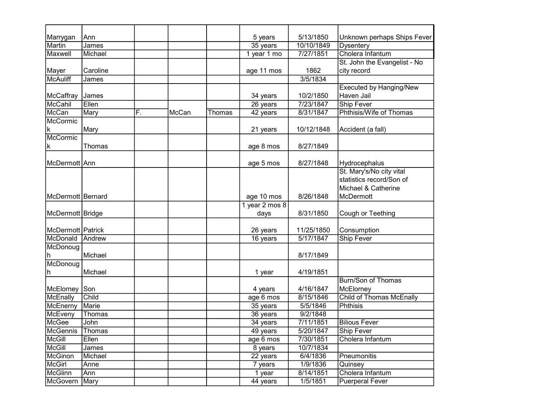| Marrygan           | Ann      |    |       |        | 5 years        | 5/13/1850  | Unknown perhaps Ships Fever     |
|--------------------|----------|----|-------|--------|----------------|------------|---------------------------------|
| <b>Martin</b>      | James    |    |       |        | 35 years       | 10/10/1849 | <b>Dysentery</b>                |
| Maxwell            | Michael  |    |       |        | 1 year 1 mo    | 7/27/1851  | Cholera Infantum                |
|                    |          |    |       |        |                |            | St. John the Evangelist - No    |
| Mayer              | Caroline |    |       |        | age 11 mos     | 1862       | city record                     |
| <b>McAuliff</b>    | James    |    |       |        |                | 3/5/1834   |                                 |
|                    |          |    |       |        |                |            | <b>Executed by Hanging/New</b>  |
| McCaffray          | James    |    |       |        | 34 years       | 10/2/1850  | Haven Jail                      |
| McCahil            | Ellen    |    |       |        | 26 years       | 7/23/1847  | <b>Ship Fever</b>               |
| McCan              | Mary     | F. | McCan | Thomas | 42 years       | 8/31/1847  | Phthisis/Wife of Thomas         |
| McCormic           |          |    |       |        |                |            |                                 |
| k                  | Mary     |    |       |        | 21 years       | 10/12/1848 | Accident (a fall)               |
| McCormic           |          |    |       |        |                |            |                                 |
| k                  | Thomas   |    |       |        | age 8 mos      | 8/27/1849  |                                 |
|                    |          |    |       |        |                |            |                                 |
| McDermott Ann      |          |    |       |        | age 5 mos      | 8/27/1848  | Hydrocephalus                   |
|                    |          |    |       |        |                |            | St. Mary's/No city vital        |
|                    |          |    |       |        |                |            | statistics record/Son of        |
|                    |          |    |       |        |                |            | Michael & Catherine             |
| McDermott Bernard  |          |    |       |        | age 10 mos     | 8/26/1848  | McDermott                       |
|                    |          |    |       |        | 1 year 2 mos 8 |            |                                 |
| McDermott   Bridge |          |    |       |        | days           | 8/31/1850  | Cough or Teething               |
|                    |          |    |       |        |                |            |                                 |
| McDermott Patrick  |          |    |       |        | 26 years       | 11/25/1850 | Consumption                     |
| McDonald           | Andrew   |    |       |        | 16 years       | 5/17/1847  | <b>Ship Fever</b>               |
| McDonoug           |          |    |       |        |                |            |                                 |
| h                  | Michael  |    |       |        |                | 8/17/1849  |                                 |
| McDonoug           |          |    |       |        |                |            |                                 |
| h                  | Michael  |    |       |        | 1 year         | 4/19/1851  |                                 |
|                    |          |    |       |        |                |            | <b>Burn/Son of Thomas</b>       |
| McElorney          | Son      |    |       |        | 4 years        | 4/16/1847  | McElorney                       |
| McEnally           | Child    |    |       |        | age 6 mos      | 8/15/1846  | <b>Child of Thomas McEnally</b> |
| McEnerny           | Marie    |    |       |        | 35 years       | 5/5/1846   | <b>Phthisis</b>                 |
| McEveny            | Thomas   |    |       |        | 36 years       | 9/2/1848   |                                 |
| McGee              | John     |    |       |        | 34 years       | 7/11/1851  | <b>Bilious Fever</b>            |
| <b>McGennis</b>    | Thomas   |    |       |        | 49 years       | 5/20/1847  | <b>Ship Fever</b>               |
| McGill             | Ellen    |    |       |        | age 6 mos      | 7/30/1851  | Cholera Infantum                |
| McGill             | James    |    |       |        | 8 years        | 10/7/1834  |                                 |
| <b>McGinon</b>     | Michael  |    |       |        | 22 years       | 6/4/1836   | Pneumonitis                     |
| McGirl             | Anne     |    |       |        | 7 years        | 1/9/1836   | Quinsey                         |
| <b>McGlinn</b>     | Ann      |    |       |        | 1 year         | 8/14/1851  | Cholera Infantum                |
| McGovern           | Mary     |    |       |        | 44 years       | 1/5/1851   | <b>Puerperal Fever</b>          |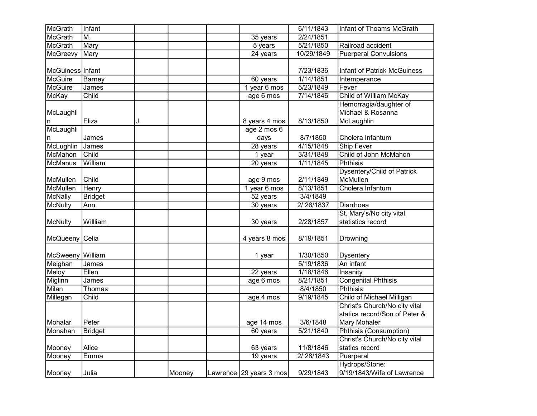| McGrath          | Infant         |    |        |                            | 6/11/1843  | Infant of Thoams McGrath          |
|------------------|----------------|----|--------|----------------------------|------------|-----------------------------------|
| <b>McGrath</b>   | M.             |    |        | 35 years                   | 2/24/1851  |                                   |
| McGrath          | Mary           |    |        | 5 years                    | 5/21/1850  | Railroad accident                 |
| McGreevy         | Mary           |    |        | 24 years                   | 10/29/1849 | <b>Puerperal Convulsions</b>      |
|                  |                |    |        |                            |            |                                   |
| McGuiness Infant |                |    |        |                            | 7/23/1836  | Infant of Patrick McGuiness       |
| <b>McGuire</b>   | Barney         |    |        | 60 years                   | 1/14/1851  | Intemperance                      |
| <b>McGuire</b>   | James          |    |        | 1 year 6 mos               | 5/23/1849  | Fever                             |
| McKay            | Child          |    |        | age 6 mos                  | 7/14/1846  | Child of William McKay            |
|                  |                |    |        |                            |            | Hemorragia/daughter of            |
| McLaughli        |                |    |        |                            |            | Michael & Rosanna                 |
| n                | Eliza          | J. |        | 8 years 4 mos              | 8/13/1850  | McLaughlin                        |
| McLaughli        |                |    |        | age 2 mos 6                |            |                                   |
| n                | James          |    |        | days                       | 8/7/1850   | Cholera Infantum                  |
| <b>McLughlin</b> | James          |    |        | 28 years                   | 4/15/1848  | <b>Ship Fever</b>                 |
| McMahon          | Child          |    |        | 1 year                     | 3/31/1848  | Child of John McMahon             |
| <b>McManus</b>   | William        |    |        | 20 years                   | 1/11/1845  | <b>Phthisis</b>                   |
|                  |                |    |        |                            |            | <b>Dysentery/Child of Patrick</b> |
| McMullen         | Child          |    |        | age 9 mos                  | 2/11/1849  | McMullen                          |
| McMullen         | Henry          |    |        | 1 year 6 mos               | 8/13/1851  | Cholera Infantum                  |
| McNally          | <b>Bridget</b> |    |        | 52 years                   | 3/4/1849   |                                   |
| <b>McNulty</b>   | Ann            |    |        | 30 years                   | 2/26/1837  | <b>Diarrhoea</b>                  |
|                  |                |    |        |                            |            | St. Mary's/No city vital          |
| <b>McNulty</b>   | Willliam       |    |        | 30 years                   | 2/28/1857  | statistics record                 |
|                  |                |    |        |                            |            |                                   |
| McQueeny Celia   |                |    |        | 4 years 8 mos              | 8/19/1851  | Drowning                          |
|                  |                |    |        |                            |            |                                   |
| McSweeny         | William        |    |        | 1 year                     | 1/30/1850  | <b>Dysentery</b>                  |
| Meighan          | James          |    |        |                            | 5/19/1836  | An infant                         |
| Meloy            | Eilen          |    |        | 22 years                   | 1/18/1846  | Insanity                          |
| Miglinn          | James          |    |        | age 6 mos                  | 8/21/1851  | <b>Congenital Phthisis</b>        |
| Milan            | Thomas         |    |        |                            | 8/4/1850   | <b>Phthisis</b>                   |
| Millegan         | Child          |    |        | age 4 mos                  | 9/19/1845  | Child of Michael Milligan         |
|                  |                |    |        |                            |            | Christ's Church/No city vital     |
|                  |                |    |        |                            |            | statics record/Son of Peter &     |
| Mohalar          | Peter          |    |        | age 14 mos                 | 3/6/1848   | Mary Mohaler                      |
| Monahan          | <b>Bridget</b> |    |        | 60 years                   | 5/21/1840  | Phthisis (Consumption)            |
|                  |                |    |        |                            |            | Christ's Church/No city vital     |
| Mooney           | Alice          |    |        | 63 years                   | 11/8/1846  | statics record                    |
| Mooney           | Emma           |    |        | 19 years                   | 2/28/1843  | Puerperal                         |
|                  |                |    |        |                            |            | Hydrops/Stone:                    |
| Mooney           | Julia          |    | Mooney | Lawrence $ 29$ years 3 mos | 9/29/1843  | 9/19/1843/Wife of Lawrence        |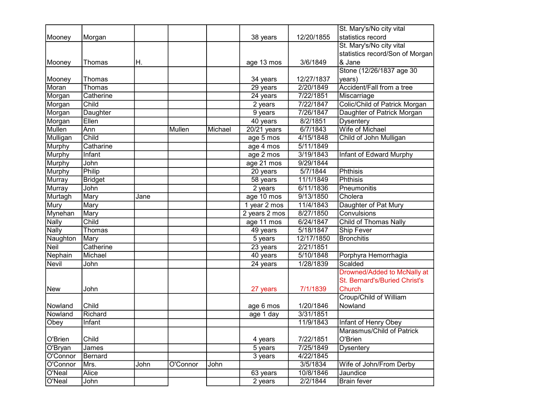|                |                |      |          |         |               |            | St. Mary's/No city vital        |
|----------------|----------------|------|----------|---------|---------------|------------|---------------------------------|
| Mooney         | Morgan         |      |          |         | 38 years      | 12/20/1855 | statistics record               |
|                |                |      |          |         |               |            | St. Mary's/No city vital        |
|                |                |      |          |         |               |            | statistics record/Son of Morgan |
| Mooney         | Thomas         | Η.   |          |         | age 13 mos    | 3/6/1849   | & Jane                          |
|                |                |      |          |         |               |            | Stone (12/26/1837 age 30        |
| Mooney         | Thomas         |      |          |         | 34 years      | 12/27/1837 | years)                          |
| Moran          | Thomas         |      |          |         | 29 years      | 2/20/1849  | Accident/Fall from a tree       |
| Morgan         | Catherine      |      |          |         | 24 years      | 7/22/1851  | Miscarriage                     |
| Morgan         | Child          |      |          |         | 2 years       | 7/22/1847  | Colic/Child of Patrick Morgan   |
| Morgan         | Daughter       |      |          |         | 9 years       | 7/26/1847  | Daughter of Patrick Morgan      |
| Morgan         | Ellen          |      |          |         | 40 years      | 8/2/1851   | <b>Dysentery</b>                |
| <b>Mullen</b>  | Ann            |      | Mullen   | Michael | $20/21$ years | 6/7/1843   | Wife of Michael                 |
| Mulligan       | Child          |      |          |         | age 5 mos     | 4/15/1848  | Child of John Mulligan          |
| <b>Murphy</b>  | Catharine      |      |          |         | age 4 mos     | 5/11/1849  |                                 |
| <b>Murphy</b>  | Infant         |      |          |         | age 2 mos     | 3/19/1843  | Infant of Edward Murphy         |
| <b>Murphy</b>  | John           |      |          |         | age 21 mos    | 9/29/1844  |                                 |
| Murphy         | Philip         |      |          |         | 20 years      | 5/7/1844   | <b>Phthisis</b>                 |
| <b>Murray</b>  | <b>Bridget</b> |      |          |         | 58 years      | 11/1/1849  | Phthisis                        |
| Murray         | John           |      |          |         | 2 years       | 6/11/1836  | Pneumonitis                     |
| Murtagh        | Mary           | Jane |          |         | age 10 mos    | 9/13/1850  | Cholera                         |
| Mury           | Mary           |      |          |         | 1 year 2 mos  | 11/4/1843  | Daughter of Pat Mury            |
| <b>Mynehan</b> | Mary           |      |          |         | 2 years 2 mos | 8/27/1850  | Convulsions                     |
| <b>Nally</b>   | Child          |      |          |         | age 11 mos    | 6/24/1847  | Child of Thomas Nally           |
| <b>Nally</b>   | Thomas         |      |          |         | 49 years      | 5/18/1847  | <b>Ship Fever</b>               |
| Naughton       | Mary           |      |          |         | 5 years       | 12/17/1850 | <b>Bronchitis</b>               |
| <b>Neil</b>    | Catherine      |      |          |         | 23 years      | 2/21/1851  |                                 |
| Nephain        | Michael        |      |          |         | 40 years      | 5/10/1848  | Porphyra Hemorrhagia            |
| <b>Nevil</b>   | John           |      |          |         | 24 years      | 1/28/1839  | Scalded                         |
|                |                |      |          |         |               |            | Drowned/Added to McNally at     |
|                |                |      |          |         |               |            | St. Bernard's/Buried Christ's   |
| New            | John           |      |          |         | 27 years      | 7/1/1839   | <b>Church</b>                   |
|                |                |      |          |         |               |            | Croup/Child of William          |
| Nowland        | Child          |      |          |         | age 6 mos     | 1/20/1846  | Nowland                         |
| Nowland        | Richard        |      |          |         | age 1 day     | 3/31/1851  |                                 |
| Obey           | Infant         |      |          |         |               | 11/9/1843  | Infant of Henry Obey            |
|                |                |      |          |         |               |            | Marasmus/Child of Patrick       |
| O'Brien        | Child          |      |          |         | 4 years       | 7/22/1851  | O'Brien                         |
| O'Bryan        | James          |      |          |         | 5 years       | 7/25/1849  | <b>Dysentery</b>                |
| O'Connor       | Bernard        |      |          |         | 3 years       | 4/22/1845  |                                 |
| O'Connor       | Mrs.           | John | O'Connor | John    |               | 3/5/1834   | Wife of John/From Derby         |
| O'Neal         | Alice          |      |          |         | 63 years      | 10/8/1846  | Jaundice                        |
| O'Neal         | John           |      |          |         | 2 years       | 2/2/1844   | <b>Brain fever</b>              |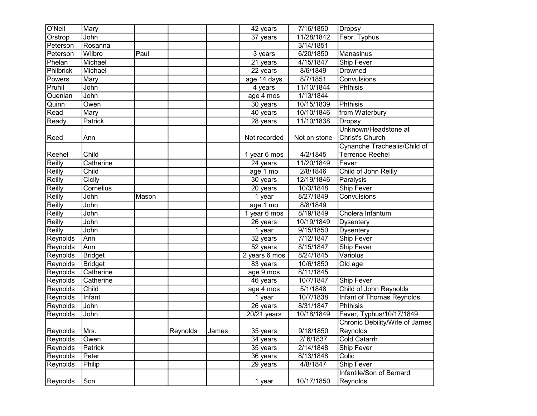| O'Neil    | Mary           |       |          |       | 42 years              | 7/16/1850    | <b>Dropsy</b>                  |
|-----------|----------------|-------|----------|-------|-----------------------|--------------|--------------------------------|
| Orstrop   | John           |       |          |       | 37 years              | 11/28/1842   | Febr. Typhus                   |
| Peterson  | Rosanna        |       |          |       |                       | 3/14/1851    |                                |
| Peterson  | Wilbro         | Paul  |          |       | $3$ years             | 6/20/1850    | Manasinus                      |
| Phelan    | Michael        |       |          |       | 21 years              | 4/15/1847    | Ship Fever                     |
| Philbrick | Michael        |       |          |       | $22$ years            | 8/6/1849     | <b>Drowned</b>                 |
| Powers    | Mary           |       |          |       | age 14 days           | 8/7/1851     | Convulsions                    |
| Pruhil    | John           |       |          |       | 4 years               | 11/10/1844   | Phthisis                       |
| Quenlan   | John           |       |          |       | age 4 mos             | 1/13/1844    |                                |
| Quinn     | Owen           |       |          |       | 30 years              | 10/15/1839   | Phthisis                       |
| Read      | Mary           |       |          |       | 40 years              | 10/10/1846   | from Waterbury                 |
| Ready     | Patrick        |       |          |       | 28 years              | 11/10/1838   | <b>Dropsy</b>                  |
|           |                |       |          |       |                       |              | Unknown/Headstone at           |
| Reed      | Ann            |       |          |       | Not recorded          | Not on stone | Christ's Church                |
|           |                |       |          |       |                       |              | Cynanche Trachealis/Child of   |
| Reehel    | Child          |       |          |       | 1 year 6 mos          | 4/2/1845     | <b>Terrence Reehel</b>         |
| Reilly    | Catherine      |       |          |       | $\overline{24}$ years | 11/20/1849   | Fever                          |
| Reilly    | Child          |       |          |       | age 1 mo              | 2/8/1846     | Child of John Reilly           |
| Reilly    | Cicily         |       |          |       | 30 years              | 12/19/1846   | Paralysis                      |
| Reilly    | Cornelius      |       |          |       | 20 years              | 10/3/1848    | Ship Fever                     |
| Reilly    | John           | Mason |          |       | $\overline{1}$ year   | 8/27/1849    | Convulsions                    |
| Reilly    | John           |       |          |       | age 1 mo              | 8/8/1849     |                                |
| Reilly    | <b>John</b>    |       |          |       | 1 year 6 mos          | 8/19/1849    | Cholera Infantum               |
| Reilly    | <b>John</b>    |       |          |       | 26 years              | 10/19/1849   | <b>Dysentery</b>               |
| Reilly    | John           |       |          |       | 1 year                | 9/15/1850    | <b>Dysentery</b>               |
| Reynolds  | Ann            |       |          |       | 32 years              | 7/12/1847    | Ship Fever                     |
| Reynolds  | Ann            |       |          |       | $\overline{52}$ years | 8/15/1847    | Ship Fever                     |
| Reynolds  | <b>Bridget</b> |       |          |       | 2 years 6 mos         | 8/24/1845    | Variolus                       |
| Reynolds  | <b>Bridget</b> |       |          |       | 83 years              | 10/6/1850    | Old age                        |
| Reynolds  | Catherine      |       |          |       | age 9 mos             | 8/11/1845    |                                |
| Reynolds  | Catherine      |       |          |       | 46 years              | 10/7/1847    | <b>Ship Fever</b>              |
| Reynolds  | Child          |       |          |       | age 4 mos             | 5/1/1848     | Child of John Reynolds         |
| Reynolds  | Infant         |       |          |       | 1 year                | 10/7/1838    | Infant of Thomas Reynolds      |
| Reynolds  | John           |       |          |       | 26 years              | 8/31/1847    | <b>Phthisis</b>                |
| Reynolds  | John           |       |          |       | $20/21$ years         | 10/18/1849   | Fever, Typhus/10/17/1849       |
|           |                |       |          |       |                       |              | Chronic Debility/Wife of James |
| Reynolds  | Mrs.           |       | Reynolds | James | 35 years              | 9/18/1850    | Reynolds                       |
| Reynolds  | Owen           |       |          |       | 34 years              | 2/6/1837     | <b>Cold Catarrh</b>            |
| Reynolds  | Patrick        |       |          |       | 35 years              | 2/14/1848    | Ship Fever                     |
| Reynolds  | Peter          |       |          |       | 36 years              | 8/13/1848    | Colic                          |
| Reynolds  | Philip         |       |          |       | 29 years              | 4/8/1847     | Ship Fever                     |
|           |                |       |          |       |                       |              | Infantile/Son of Bernard       |
| Reynolds  | Son            |       |          |       | 1 year                | 10/17/1850   | Reynolds                       |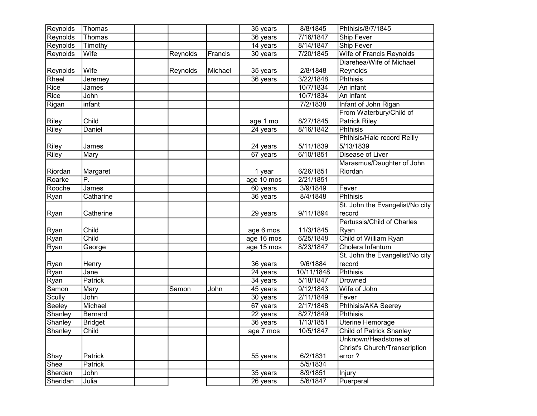| Reynolds     | Thomas            |          |         | 35 years   | 8/8/1845   | Phthisis/8/7/1845                 |
|--------------|-------------------|----------|---------|------------|------------|-----------------------------------|
| Reynolds     | Thomas            |          |         | 36 years   | 7/16/1847  | Ship Fever                        |
| Reynolds     | Timothy           |          |         | 14 years   | 8/14/1847  | <b>Ship Fever</b>                 |
| Reynolds     | Wife              | Reynolds | Francis | 30 years   | 7/20/1845  | <b>Wife of Francis Reynolds</b>   |
|              |                   |          |         |            |            | Diarehea/Wife of Michael          |
| Reynolds     | Wife              | Reynolds | Michael | 35 years   | 2/8/1848   | Reynolds                          |
| Rheel        | Jeremey           |          |         | 36 years   | 3/22/1848  | <b>Phthisis</b>                   |
| Rice         | James             |          |         |            | 10/7/1834  | An infant                         |
| Rice         | John              |          |         |            | 10/7/1834  | An infant                         |
| Rigan        | infant            |          |         |            | 7/2/1838   | Infant of John Rigan              |
|              |                   |          |         |            |            | From Waterbury/Child of           |
| Riley        | Child             |          |         | age 1 mo   | 8/27/1845  | Patrick Riley                     |
| Riley        | Daniel            |          |         | 24 years   | 8/16/1842  | <b>Phthisis</b>                   |
|              |                   |          |         |            |            | Phthisis/Hale record Reilly       |
| Riley        | James             |          |         | 24 years   | 5/11/1839  | 5/13/1839                         |
| <b>Riley</b> | Mary              |          |         | 67 years   | 6/10/1851  | Disease of Liver                  |
|              |                   |          |         |            |            | Marasmus/Daughter of John         |
| Riordan      | Margaret          |          |         | 1 year     | 6/26/1851  | Riordan                           |
| Roarke       | $\overline{P}$ .  |          |         | age 10 mos | 2/21/1851  |                                   |
| Rooche       | James             |          |         | 60 years   | 3/9/1849   | Fever                             |
| Ryan         | Catharine         |          |         | $36$ years | 8/4/1848   | <b>Phthisis</b>                   |
|              |                   |          |         |            |            | St. John the Evangelist/No city   |
| Ryan         | Catherine         |          |         | 29 years   | 9/11/1894  | record                            |
|              |                   |          |         |            |            | <b>Pertussis/Child of Charles</b> |
| Ryan         | Child             |          |         | age 6 mos  | 11/3/1845  | Ryan                              |
| <b>Ryan</b>  | Child             |          |         | age 16 mos | 6/25/1848  | Child of William Ryan             |
| Ryan         | George            |          |         | age 15 mos | 8/23/1847  | Cholera Infantum                  |
|              |                   |          |         |            |            | St. John the Evangelist/No city   |
| Ryan         | Henry             |          |         | 36 years   | 9/6/1884   | record                            |
| Ryan         | $\overline{Jane}$ |          |         | 24 years   | 10/11/1848 | <b>Phthisis</b>                   |
| Ryan         | Patrick           |          |         | 34 years   | 5/18/1847  | Drowned                           |
| Samon        | Mary              | Samon    | John    | 45 years   | 9/12/1843  | Wife of John                      |
| Scully       | John              |          |         | 30 years   | 2/11/1849  | Fever                             |
| Seeley       | Michael           |          |         | 67 years   | 2/17/1848  | Phthisis/AKA Seerey               |
| Shanley      | Bernard           |          |         | 22 years   | 8/27/1849  | <b>Phthisis</b>                   |
| Shanley      | <b>Bridget</b>    |          |         | 36 years   | 1/13/1851  | Uterine Hemorage                  |
| Shanley      | Child             |          |         | age 7 mos  | 10/5/1847  | <b>Child of Patrick Shanley</b>   |
|              |                   |          |         |            |            | Unknown/Headstone at              |
|              |                   |          |         |            |            | Christ's Church/Transcription     |
| Shay         | Patrick           |          |         | 55 years   | 6/2/1831   | error?                            |
| Shea         | Patrick           |          |         |            | 5/5/1834   |                                   |
| Sherden      | John              |          |         | 35 years   | 8/9/1851   | Injury                            |
| Sheridan     | Julia             |          |         | 26 years   | 5/6/1847   | Puerperal                         |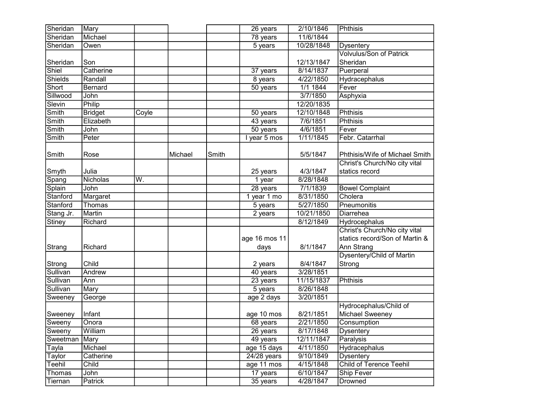| Sheridan                     | Mary           |       |         |       | 26 years      | 2/10/1846  | Phthisis                       |
|------------------------------|----------------|-------|---------|-------|---------------|------------|--------------------------------|
| Sheridan                     | Michael        |       |         |       | 78 years      | 11/6/1844  |                                |
| Sheridan                     | Owen           |       |         |       | 5 years       | 10/28/1848 | <b>Dysentery</b>               |
|                              |                |       |         |       |               |            | <b>Volvulus/Son of Patrick</b> |
| Sheridan                     | Son            |       |         |       |               | 12/13/1847 | Sheridan                       |
| Shiel                        | Catherine      |       |         |       | $37$ years    | 8/14/1837  | Puerperal                      |
| <b>Shields</b>               | Randall        |       |         |       | $8$ years     | 4/22/1850  | Hydracephalus                  |
| Short                        | <b>Bernard</b> |       |         |       | 50 years      | 1/1 1844   | Fever                          |
| Sillwood                     | John           |       |         |       |               | 3/7/1850   | Asphyxia                       |
| Slevin                       | Philip         |       |         |       |               | 12/20/1835 |                                |
| Smith                        | <b>Bridget</b> | Coyle |         |       | 50 years      | 12/10/1848 | Phthisis                       |
| Smith                        | Elizabeth      |       |         |       | 43 years      | 7/6/1851   | <b>Phthisis</b>                |
| Smith                        | John           |       |         |       | 50 years      | 4/6/1851   | Fever                          |
| Smith                        | Peter          |       |         |       | I year 5 mos  | 1/11/1845  | Febr. Catarrhal                |
|                              |                |       |         |       |               |            |                                |
| Smith                        | Rose           |       | Michael | Smith |               | 5/5/1847   | Phthisis/Wife of Michael Smith |
|                              |                |       |         |       |               |            | Christ's Church/No city vital  |
| Smyth                        | Julia          |       |         |       | 25 years      | 4/3/1847   | statics record                 |
| $\overline{\mathsf{S}}$ pang | Nicholas       | W.    |         |       | 1 year        | 8/28/1848  |                                |
| Splain                       | John           |       |         |       | 28 years      | 7/1/1839   | <b>Bowel Complaint</b>         |
| Stanford                     | Margaret       |       |         |       | 1 year 1 mo   | 8/31/1850  | Cholera                        |
| Stanford                     | Thomas         |       |         |       | 5 years       | 5/27/1850  | Pneumonitis                    |
| Stang Jr.                    | <b>Martin</b>  |       |         |       | 2 years       | 10/21/1850 | Diarrehea                      |
| <b>Stiney</b>                | Richard        |       |         |       |               | 8/12/1849  | Hydrocephalus                  |
|                              |                |       |         |       |               |            | Christ's Church/No city vital  |
|                              |                |       |         |       | age 16 mos 11 |            | statics record/Son of Martin & |
| Strang                       | Richard        |       |         |       | days          | 8/1/1847   | Ann Strang                     |
|                              |                |       |         |       |               |            | Dysentery/Child of Martin      |
| Strong                       | Child          |       |         |       | 2 years       | 8/4/1847   | Strong                         |
| Sullivan                     | Andrew         |       |         |       | 40 years      | 3/28/1851  |                                |
| Sullivan                     | Ann            |       |         |       | $23$ years    | 11/15/1837 | Phthisis                       |
| Sullivan                     | Mary           |       |         |       | 5 years       | 8/26/1848  |                                |
| Sweeney                      | George         |       |         |       | age 2 days    | 3/20/1851  |                                |
|                              |                |       |         |       |               |            | Hydrocephalus/Child of         |
| Sweeney                      | Infant         |       |         |       | age 10 mos    | 8/21/1851  | Michael Sweeney                |
| Sweeny                       | Onora          |       |         |       | 68 years      | 2/21/1850  | Consumption                    |
| Sweeny                       | William        |       |         |       | 26 years      | 8/17/1848  | <b>Dysentery</b>               |
| Sweetman                     | Mary           |       |         |       | 49 years      | 12/11/1847 | Paralysis                      |
| Tayla                        | Michael        |       |         |       | age 15 days   | 4/11/1850  | Hydracephalus                  |
| Taylor                       | Catherine      |       |         |       | 24/28 years   | 9/10/1849  | <b>Dysentery</b>               |
| Teehil                       | Child          |       |         |       | age 11 mos    | 4/15/1848  | Child of Terence Teehil        |
| Thomas                       | John           |       |         |       | 17 years      | 6/10/1847  | Ship Fever                     |
| Tiernan                      | Patrick        |       |         |       | 35 years      | 4/28/1847  | Drowned                        |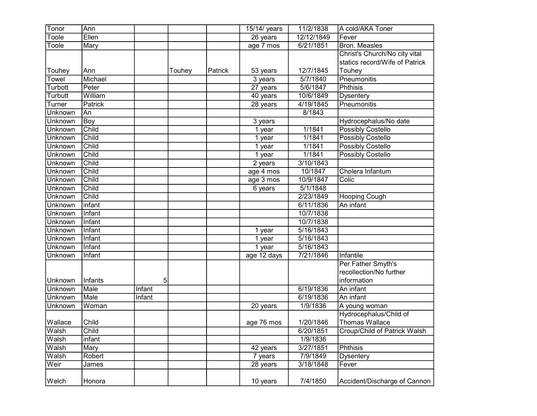| Tonor          | Ann     |        |        |         | 15/14/ years         | 11/2/1838  | A cold/AKA Toner               |
|----------------|---------|--------|--------|---------|----------------------|------------|--------------------------------|
| oole           | Ellen   |        |        |         | 26 years             | 12/12/1849 | Fever                          |
| Toole          | Mary    |        |        |         | age 7 mos            | 6/21/1851  | Bron. Measles                  |
|                |         |        |        |         |                      |            | Christ's Church/No city vital  |
|                |         |        |        |         |                      |            | statics record/Wife of Patrick |
| Touhey         | Ann     |        | Touhey | Patrick | 53 years             | 12/7/1845  | Touhey                         |
| Towel          | Michael |        |        |         | 3 years              | 5/7/1840   | Pneumonitis                    |
| Turbott        | Peter   |        |        |         | 27 years             | 5/6/1847   | <b>Phthisis</b>                |
| Turbutt        | William |        |        |         | 40 years             | 10/6/1849  | <b>Dysentery</b>               |
| Turner         | Patrick |        |        |         | 28 years             | 4/19/1845  | Pneumonitis                    |
| Unknown        | An      |        |        |         |                      | 8/1843     |                                |
| <b>Unknown</b> | Boy     |        |        |         | 3 years              |            | Hydrocephalus/No date          |
| <b>Unknown</b> | Child   |        |        |         | 1 year               | 1/1841     | <b>Possibly Costello</b>       |
| <b>Unknown</b> | Child   |        |        |         | 1 year               | 1/1841     | <b>Possibly Costello</b>       |
| Unknown        | Child   |        |        |         | $\overline{1}$ year  | 1/1841     | <b>Possibly Costello</b>       |
| <b>Unknown</b> | Child   |        |        |         | 1 year               | 1/1841     | <b>Possibly Costello</b>       |
| <b>Unknown</b> | Child   |        |        |         | $\overline{2}$ years | 3/10/1843  |                                |
| Unknown        | Child   |        |        |         | age 4 mos            | 10/1847    | Cholera Infantum               |
| Unknown        | Child   |        |        |         | age 3 mos            | 10/9/1847  | Colic                          |
| Unknown        | Child   |        |        |         | 6 years              | 5/1/1848   |                                |
| Unknown        | Child   |        |        |         |                      | 2/23/1849  | <b>Hooping Cough</b>           |
| <b>Unknown</b> | infant  |        |        |         |                      | 6/11/1836  | An infant                      |
| Unknown        | Infant  |        |        |         |                      | 10/7/1838  |                                |
| <b>Unknown</b> | Infant  |        |        |         |                      | 10/7/1838  |                                |
| Unknown        | Infant  |        |        |         | 1 year               | 5/16/1843  |                                |
| Unknown        | Infant  |        |        |         | 1 year               | 5/16/1843  |                                |
| Unknown        | Infant  |        |        |         | 1 year               | 5/16/1843  |                                |
| <b>Unknown</b> | Infant  |        |        |         | age 12 days          | 7/21/1846  | Infantile                      |
|                |         |        |        |         |                      |            | Per Father Smyth's             |
|                |         |        |        |         |                      |            | recollection/No further        |
| Unknown        | Infants | 5      |        |         |                      |            | information                    |
| <b>Unknown</b> | Male    | Infant |        |         |                      | 6/19/1836  | An infant                      |
| Unknown        | Male    | Infant |        |         |                      | 6/19/1836  | An infant                      |
| Unknown        | Woman   |        |        |         | 20 years             | 1/9/1836   | A young woman                  |
|                |         |        |        |         |                      |            | Hydrocephalus/Child of         |
| Wallace        | Child   |        |        |         | age 76 mos           | 1/20/1846  | Thomas Wallace                 |
| Walsh          | Child   |        |        |         |                      | 6/20/1851  | Croup/Child of Patrick Walsh   |
| Walsh          | infant  |        |        |         |                      | 1/9/1836   |                                |
| Walsh          | Mary    |        |        |         | 42 years             | 3/27/1851  | Phthisis                       |
| Walsh          | Robert  |        |        |         | 7 years              | 7/9/1849   | <b>Dysentery</b>               |
| Weir           | James   |        |        |         | 28 years             | 3/18/1848  | Fever                          |
|                |         |        |        |         |                      |            |                                |
| Welch          | Honora  |        |        |         | 10 years             | 7/4/1850   | Accident/Discharge of Cannon   |